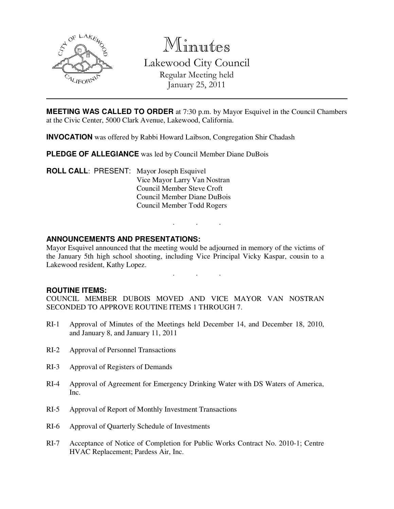

Minutes

Lakewood City Council Regular Meeting held January 25, 2011

**MEETING WAS CALLED TO ORDER** at 7:30 p.m. by Mayor Esquivel in the Council Chambers at the Civic Center, 5000 Clark Avenue, Lakewood, California.

**INVOCATION** was offered by Rabbi Howard Laibson, Congregation Shir Chadash

**PLEDGE OF ALLEGIANCE** was led by Council Member Diane DuBois

**ROLL CALL**: PRESENT: Mayor Joseph Esquivel Vice Mayor Larry Van Nostran Council Member Steve Croft Council Member Diane DuBois Council Member Todd Rogers

## **ANNOUNCEMENTS AND PRESENTATIONS:**

Mayor Esquivel announced that the meeting would be adjourned in memory of the victims of the January 5th high school shooting, including Vice Principal Vicky Kaspar, cousin to a Lakewood resident, Kathy Lopez.

. . .

. . .

## **ROUTINE ITEMS:**

COUNCIL MEMBER DUBOIS MOVED AND VICE MAYOR VAN NOSTRAN SECONDED TO APPROVE ROUTINE ITEMS 1 THROUGH 7.

- RI-1 Approval of Minutes of the Meetings held December 14, and December 18, 2010, and January 8, and January 11, 2011
- RI-2 Approval of Personnel Transactions
- RI-3 Approval of Registers of Demands
- RI-4 Approval of Agreement for Emergency Drinking Water with DS Waters of America, Inc.
- RI-5 Approval of Report of Monthly Investment Transactions
- RI-6 Approval of Quarterly Schedule of Investments
- RI-7 Acceptance of Notice of Completion for Public Works Contract No. 2010-1; Centre HVAC Replacement; Pardess Air, Inc.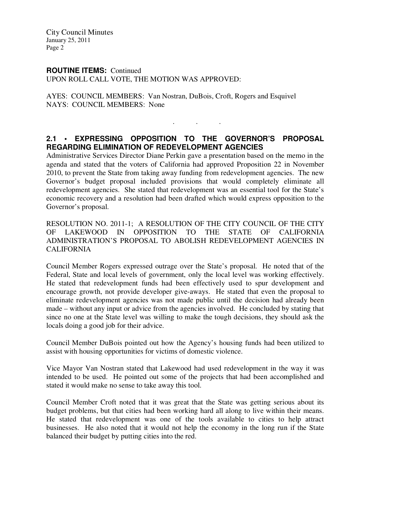City Council Minutes January 25, 2011 Page 2

### **ROUTINE ITEMS:** Continued

UPON ROLL CALL VOTE, THE MOTION WAS APPROVED:

AYES: COUNCIL MEMBERS: Van Nostran, DuBois, Croft, Rogers and Esquivel NAYS: COUNCIL MEMBERS: None

# **2.1 • EXPRESSING OPPOSITION TO THE GOVERNOR'S PROPOSAL REGARDING ELIMINATION OF REDEVELOPMENT AGENCIES**

. . .

Administrative Services Director Diane Perkin gave a presentation based on the memo in the agenda and stated that the voters of California had approved Proposition 22 in November 2010, to prevent the State from taking away funding from redevelopment agencies. The new Governor's budget proposal included provisions that would completely eliminate all redevelopment agencies. She stated that redevelopment was an essential tool for the State's economic recovery and a resolution had been drafted which would express opposition to the Governor's proposal.

RESOLUTION NO. 2011-1; A RESOLUTION OF THE CITY COUNCIL OF THE CITY OF LAKEWOOD IN OPPOSITION TO THE STATE OF CALIFORNIA ADMINISTRATION'S PROPOSAL TO ABOLISH REDEVELOPMENT AGENCIES IN CALIFORNIA

Council Member Rogers expressed outrage over the State's proposal. He noted that of the Federal, State and local levels of government, only the local level was working effectively. He stated that redevelopment funds had been effectively used to spur development and encourage growth, not provide developer give-aways. He stated that even the proposal to eliminate redevelopment agencies was not made public until the decision had already been made – without any input or advice from the agencies involved. He concluded by stating that since no one at the State level was willing to make the tough decisions, they should ask the locals doing a good job for their advice.

Council Member DuBois pointed out how the Agency's housing funds had been utilized to assist with housing opportunities for victims of domestic violence.

Vice Mayor Van Nostran stated that Lakewood had used redevelopment in the way it was intended to be used. He pointed out some of the projects that had been accomplished and stated it would make no sense to take away this tool.

Council Member Croft noted that it was great that the State was getting serious about its budget problems, but that cities had been working hard all along to live within their means. He stated that redevelopment was one of the tools available to cities to help attract businesses. He also noted that it would not help the economy in the long run if the State balanced their budget by putting cities into the red.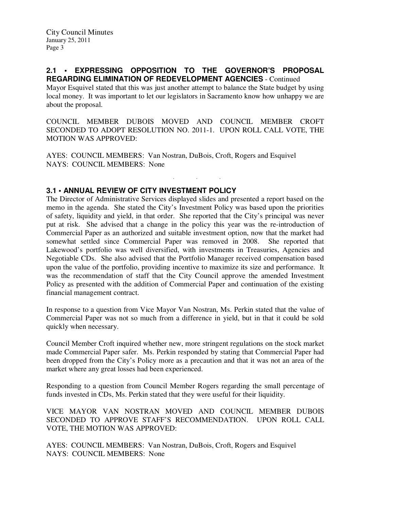### **2.1 • EXPRESSING OPPOSITION TO THE GOVERNOR'S PROPOSAL REGARDING ELIMINATION OF REDEVELOPMENT AGENCIES** - Continued

Mayor Esquivel stated that this was just another attempt to balance the State budget by using local money. It was important to let our legislators in Sacramento know how unhappy we are about the proposal.

COUNCIL MEMBER DUBOIS MOVED AND COUNCIL MEMBER CROFT SECONDED TO ADOPT RESOLUTION NO. 2011-1. UPON ROLL CALL VOTE, THE MOTION WAS APPROVED:

. . .

AYES: COUNCIL MEMBERS: Van Nostran, DuBois, Croft, Rogers and Esquivel NAYS: COUNCIL MEMBERS: None

# **3.1 • ANNUAL REVIEW OF CITY INVESTMENT POLICY**

The Director of Administrative Services displayed slides and presented a report based on the memo in the agenda. She stated the City's Investment Policy was based upon the priorities of safety, liquidity and yield, in that order. She reported that the City's principal was never put at risk. She advised that a change in the policy this year was the re-introduction of Commercial Paper as an authorized and suitable investment option, now that the market had somewhat settled since Commercial Paper was removed in 2008. She reported that Lakewood's portfolio was well diversified, with investments in Treasuries, Agencies and Negotiable CDs. She also advised that the Portfolio Manager received compensation based upon the value of the portfolio, providing incentive to maximize its size and performance. It was the recommendation of staff that the City Council approve the amended Investment Policy as presented with the addition of Commercial Paper and continuation of the existing financial management contract.

In response to a question from Vice Mayor Van Nostran, Ms. Perkin stated that the value of Commercial Paper was not so much from a difference in yield, but in that it could be sold quickly when necessary.

Council Member Croft inquired whether new, more stringent regulations on the stock market made Commercial Paper safer. Ms. Perkin responded by stating that Commercial Paper had been dropped from the City's Policy more as a precaution and that it was not an area of the market where any great losses had been experienced.

Responding to a question from Council Member Rogers regarding the small percentage of funds invested in CDs, Ms. Perkin stated that they were useful for their liquidity.

VICE MAYOR VAN NOSTRAN MOVED AND COUNCIL MEMBER DUBOIS SECONDED TO APPROVE STAFF'S RECOMMENDATION. UPON ROLL CALL VOTE, THE MOTION WAS APPROVED:

AYES: COUNCIL MEMBERS: Van Nostran, DuBois, Croft, Rogers and Esquivel NAYS: COUNCIL MEMBERS: None